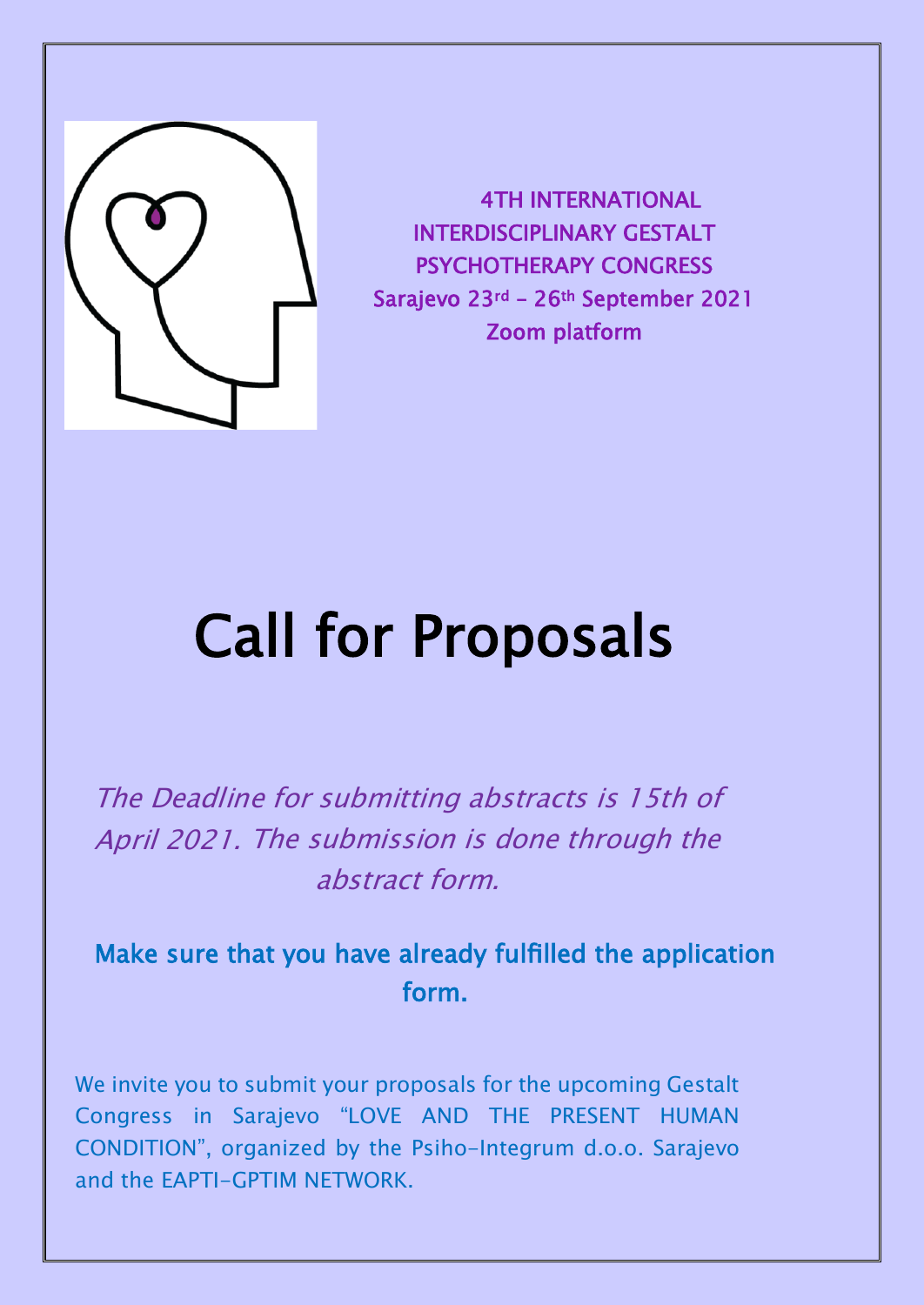

4TH INTERNATIONAL INTERDISCIPLINARY GESTALT PSYCHOTHERAPY CONGRESS Sarajevo 23rd – 26th September 2021 Zoom platform

# Call for Proposals

The Deadline for submitting abstracts is 15th of April 2021. The submission is done through the abstract form.

## Make sure that you have already fulfilled the application form.

We invite you to submit your proposals for the upcoming Gestalt Congress in Sarajevo "LOVE AND THE PRESENT HUMAN CONDITION", organized by the Psiho-Integrum d.o.o. Sarajevo and the EAPTI-GPTIM NETWORK.